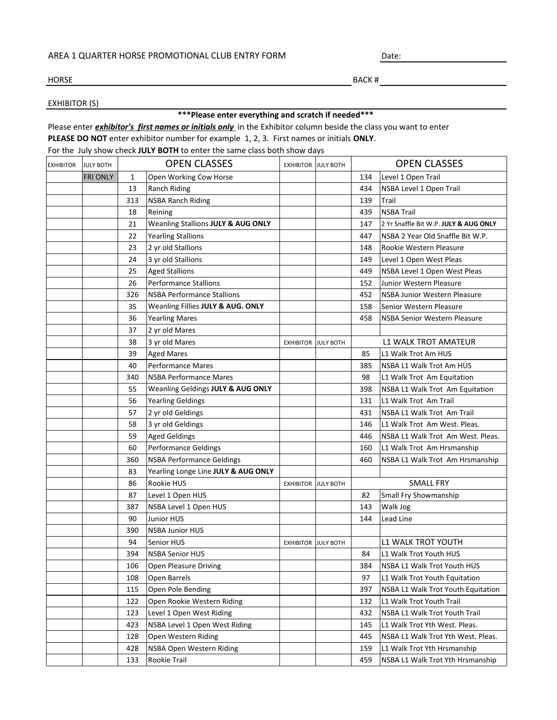## AREA 1 QUARTER HORSE PROMOTIONAL CLUB ENTRY FORM

Date:

## HORSE

BACK #

## EXHIBITOR (S)

## **\*\*\*Please enter everything and scratch if needed\*\*\***

Please enter *exhibitor's first names or initials only* in the Exhibitor column beside the class you want to enter **PLEASE DO NOT** enter exhibitor number for example 1, 2, 3. First names or initials **ONLY**.

For the July show check **JULY BOTH** to enter the same class both show days

| <b>EXHIBITOR</b> | <b>JULY BOTH</b> |     | <b>OPEN CLASSES</b>                 | <b>EXHIBITOR JULY BOTH</b> |                  | <b>OPEN CLASSES</b> |                                       |
|------------------|------------------|-----|-------------------------------------|----------------------------|------------------|---------------------|---------------------------------------|
|                  | <b>FRI ONLY</b>  | 1   | Open Working Cow Horse              |                            |                  | 134                 | Level 1 Open Trail                    |
|                  |                  | 13  | Ranch Riding                        |                            |                  | 434                 | NSBA Level 1 Open Trail               |
|                  |                  | 313 | <b>NSBA Ranch Riding</b>            |                            |                  | 139                 | Trail                                 |
|                  |                  | 18  | Reining                             |                            |                  | 439                 | <b>NSBA Trail</b>                     |
|                  |                  | 21  | Weanling Stallions JULY & AUG ONLY  |                            |                  | 147                 | 2 Yr Snaffle Bit W.P. JULY & AUG ONLY |
|                  |                  | 22  | <b>Yearling Stallions</b>           |                            |                  | 447                 | NSBA 2 Year Old Snaffle Bit W.P.      |
|                  |                  | 23  | 2 yr old Stallions                  |                            |                  | 148                 | Rookie Western Pleasure               |
|                  |                  | 24  | 3 yr old Stallions                  |                            |                  | 149                 | Level 1 Open West Pleas               |
|                  |                  | 25  | <b>Aged Stallions</b>               |                            |                  | 449                 | NSBA Level 1 Open West Pleas          |
|                  |                  | 26  | <b>Performance Stallions</b>        |                            |                  | 152                 | Junior Western Pleasure               |
|                  |                  | 326 | <b>NSBA Performance Stallions</b>   |                            |                  | 452                 | NSBA Junior Western Pleasure          |
|                  |                  | 35  | Weanling Fillies JULY & AUG. ONLY   |                            |                  | 158                 | Senior Western Pleasure               |
|                  |                  | 36  | <b>Yearling Mares</b>               |                            |                  | 458                 | <b>NSBA Senior Western Pleasure</b>   |
|                  |                  | 37  | 2 yr old Mares                      |                            |                  |                     |                                       |
|                  |                  | 38  | 3 yr old Mares                      | <b>EXHIBITOR JULY BOTH</b> |                  |                     | <b>L1 WALK TROT AMATEUR</b>           |
|                  |                  | 39  | <b>Aged Mares</b>                   |                            |                  | 85                  | L1 Walk Trot Am HUS                   |
|                  |                  | 40  | <b>Performance Mares</b>            |                            |                  | 385                 | NSBA L1 Walk Trot Am HUS              |
|                  |                  | 340 | <b>NSBA Performance Mares</b>       |                            |                  | 98                  | L1 Walk Trot Am Equitation            |
|                  |                  | 55  | Weanling Geldings JULY & AUG ONLY   |                            |                  | 398                 | NSBA L1 Walk Trot Am Equitation       |
|                  |                  | 56  | <b>Yearling Geldings</b>            |                            |                  | 131                 | L1 Walk Trot Am Trail                 |
|                  |                  | 57  | 2 yr old Geldings                   |                            |                  | 431                 | NSBA L1 Walk Trot Am Trail            |
|                  |                  | 58  | 3 yr old Geldings                   |                            |                  | 146                 | L1 Walk Trot Am West. Pleas.          |
|                  |                  | 59  | <b>Aged Geldings</b>                |                            |                  | 446                 | NSBA L1 Walk Trot Am West. Pleas.     |
|                  |                  | 60  | Performance Geldings                |                            |                  | 160                 | L1 Walk Trot Am Hrsmanship            |
|                  |                  | 360 | <b>NSBA Performance Geldings</b>    |                            |                  | 460                 | NSBA L1 Walk Trot Am Hrsmanship       |
|                  |                  | 83  | Yearling Longe Line JULY & AUG ONLY |                            |                  |                     |                                       |
|                  |                  | 86  | Rookie HUS                          | <b>EXHIBITOR JULY BOTH</b> |                  |                     | <b>SMALL FRY</b>                      |
|                  |                  | 87  | Level 1 Open HUS                    |                            |                  | 82                  | Small Fry Showmanship                 |
|                  |                  | 387 | NSBA Level 1 Open HUS               |                            |                  | 143                 | Walk Jog                              |
|                  |                  | 90  | Junior HUS                          |                            |                  | 144                 | Lead Line                             |
|                  |                  | 390 | <b>NSBA Junior HUS</b>              |                            |                  |                     |                                       |
|                  |                  | 94  | Senior HUS                          | <b>EXHIBITOR</b>           | <b>JULY BOTH</b> |                     | L1 WALK TROT YOUTH                    |
|                  |                  | 394 | <b>NSBA Senior HUS</b>              |                            |                  | 84                  | L1 Walk Trot Youth HUS                |
|                  |                  | 106 | Open Pleasure Driving               |                            |                  | 384                 | NSBA L1 Walk Trot Youth HUS           |
|                  |                  | 108 | Open Barrels                        |                            |                  | 97                  | L1 Walk Trot Youth Equitation         |
|                  |                  | 115 | Open Pole Bending                   |                            |                  | 397                 | NSBA L1 Walk Trot Youth Equitation    |
|                  |                  | 122 | Open Rookie Western Riding          |                            |                  | 132                 | L1 Walk Trot Youth Trail              |
|                  |                  | 123 | Level 1 Open West Riding            |                            |                  | 432                 | NSBA L1 Walk Trot Youth Trail         |
|                  |                  | 423 | NSBA Level 1 Open West Riding       |                            |                  | 145                 | L1 Walk Trot Yth West. Pleas.         |
|                  |                  | 128 | Open Western Riding                 |                            |                  | 445                 | NSBA L1 Walk Trot Yth West. Pleas.    |
|                  |                  | 428 | NSBA Open Western Riding            |                            |                  | 159                 | L1 Walk Trot Yth Hrsmanship           |
|                  |                  | 133 | Rookie Trail                        |                            |                  | 459                 | NSBA L1 Walk Trot Yth Hrsmanship      |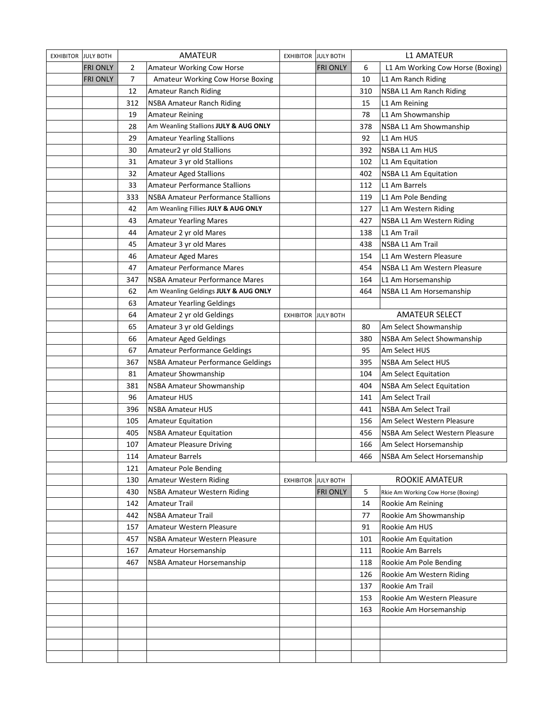| <b>EXHIBITOR</b> | <b>JULY BOTH</b> | <b>AMATEUR</b> |                                       | <b>JULY BOTH</b><br><b>EXHIBITOR</b> |                  | <b>L1 AMATEUR</b> |                                    |
|------------------|------------------|----------------|---------------------------------------|--------------------------------------|------------------|-------------------|------------------------------------|
|                  | <b>FRI ONLY</b>  | $\overline{2}$ | Amateur Working Cow Horse             |                                      | <b>FRI ONLY</b>  | 6                 | L1 Am Working Cow Horse (Boxing)   |
|                  | <b>FRI ONLY</b>  | $\overline{7}$ | Amateur Working Cow Horse Boxing      |                                      |                  | 10                | L1 Am Ranch Riding                 |
|                  |                  | 12             | Amateur Ranch Riding                  |                                      |                  | 310               | NSBA L1 Am Ranch Riding            |
|                  |                  | 312            | <b>NSBA Amateur Ranch Riding</b>      |                                      |                  | 15                | L1 Am Reining                      |
|                  |                  | 19             | <b>Amateur Reining</b>                |                                      |                  | 78                | L1 Am Showmanship                  |
|                  |                  | 28             | Am Weanling Stallions JULY & AUG ONLY |                                      |                  | 378               | NSBA L1 Am Showmanship             |
|                  |                  | 29             | <b>Amateur Yearling Stallions</b>     |                                      |                  | 92                | L1 Am HUS                          |
|                  |                  | 30             | Amateur2 yr old Stallions             |                                      |                  | 392               | NSBA L1 Am HUS                     |
|                  |                  | 31             | Amateur 3 yr old Stallions            |                                      |                  | 102               | L1 Am Equitation                   |
|                  |                  | 32             | <b>Amateur Aged Stallions</b>         |                                      |                  | 402               | <b>NSBA L1 Am Equitation</b>       |
|                  |                  | 33             | <b>Amateur Performance Stallions</b>  |                                      |                  | 112               | L1 Am Barrels                      |
|                  |                  | 333            | NSBA Amateur Performance Stallions    |                                      |                  | 119               | L1 Am Pole Bending                 |
|                  |                  | 42             | Am Weanling Fillies JULY & AUG ONLY   |                                      |                  | 127               | L1 Am Western Riding               |
|                  |                  | 43             | <b>Amateur Yearling Mares</b>         |                                      |                  | 427               | NSBA L1 Am Western Riding          |
|                  |                  | 44             | Amateur 2 yr old Mares                |                                      |                  | 138               | L1 Am Trail                        |
|                  |                  | 45             | Amateur 3 yr old Mares                |                                      |                  | 438               | NSBA L1 Am Trail                   |
|                  |                  | 46             | <b>Amateur Aged Mares</b>             |                                      |                  | 154               | L1 Am Western Pleasure             |
|                  |                  | 47             | <b>Amateur Performance Mares</b>      |                                      |                  | 454               | NSBA L1 Am Western Pleasure        |
|                  |                  | 347            | NSBA Amateur Performance Mares        |                                      |                  | 164               | L1 Am Horsemanship                 |
|                  |                  | 62             | Am Weanling Geldings JULY & AUG ONLY  |                                      |                  | 464               | NSBA L1 Am Horsemanship            |
|                  |                  | 63             | <b>Amateur Yearling Geldings</b>      |                                      |                  |                   |                                    |
|                  |                  | 64             | Amateur 2 yr old Geldings             | <b>EXHIBITOR JULY BOTH</b>           |                  |                   | <b>AMATEUR SELECT</b>              |
|                  |                  | 65             | Amateur 3 yr old Geldings             |                                      |                  | 80                | Am Select Showmanship              |
|                  |                  | 66             | Amateur Aged Geldings                 |                                      |                  | 380               | NSBA Am Select Showmanship         |
|                  |                  | 67             | <b>Amateur Performance Geldings</b>   |                                      |                  | 95                | Am Select HUS                      |
|                  |                  | 367            | NSBA Amateur Performance Geldings     |                                      |                  | 395               | NSBA Am Select HUS                 |
|                  |                  | 81             | Amateur Showmanship                   |                                      |                  | 104               | Am Select Equitation               |
|                  |                  | 381            | <b>NSBA Amateur Showmanship</b>       |                                      |                  | 404               | <b>NSBA Am Select Equitation</b>   |
|                  |                  | 96             | <b>Amateur HUS</b>                    |                                      |                  | 141               | Am Select Trail                    |
|                  |                  | 396            | <b>NSBA Amateur HUS</b>               |                                      |                  | 441               | <b>NSBA Am Select Trail</b>        |
|                  |                  | 105            | <b>Amateur Equitation</b>             |                                      |                  | 156               | Am Select Western Pleasure         |
|                  |                  | 405            | <b>NSBA Amateur Equitation</b>        |                                      |                  | 456               | NSBA Am Select Western Pleasure    |
|                  |                  | 107            | <b>Amateur Pleasure Driving</b>       |                                      |                  | 166               | Am Select Horsemanship             |
|                  |                  | 114            | <b>Amateur Barrels</b>                |                                      |                  | 466               | NSBA Am Select Horsemanship        |
|                  |                  | 121            | <b>Amateur Pole Bending</b>           |                                      |                  |                   |                                    |
|                  |                  | 130            | Amateur Western Riding                | <b>EXHIBITOR</b>                     | <b>JULY BOTH</b> |                   | <b>ROOKIE AMATEUR</b>              |
|                  |                  | 430            | <b>NSBA Amateur Western Riding</b>    |                                      | <b>FRI ONLY</b>  | 5                 | Rkie Am Working Cow Horse (Boxing) |
|                  |                  | 142            | <b>Amateur Trail</b>                  |                                      |                  | 14                | Rookie Am Reining                  |
|                  |                  | 442            | <b>NSBA Amateur Trail</b>             |                                      |                  | 77                | Rookie Am Showmanship              |
|                  |                  | 157            | Amateur Western Pleasure              |                                      |                  | 91                | Rookie Am HUS                      |
|                  |                  | 457            | NSBA Amateur Western Pleasure         |                                      |                  | 101               | Rookie Am Equitation               |
|                  |                  | 167            | Amateur Horsemanship                  |                                      |                  | 111               | Rookie Am Barrels                  |
|                  |                  | 467            | NSBA Amateur Horsemanship             |                                      |                  | 118               | Rookie Am Pole Bending             |
|                  |                  |                |                                       |                                      |                  | 126               | Rookie Am Western Riding           |
|                  |                  |                |                                       |                                      |                  | 137               | Rookie Am Trail                    |
|                  |                  |                |                                       |                                      |                  | 153               | Rookie Am Western Pleasure         |
|                  |                  |                |                                       |                                      |                  | 163               | Rookie Am Horsemanship             |
|                  |                  |                |                                       |                                      |                  |                   |                                    |
|                  |                  |                |                                       |                                      |                  |                   |                                    |
|                  |                  |                |                                       |                                      |                  |                   |                                    |
|                  |                  |                |                                       |                                      |                  |                   |                                    |